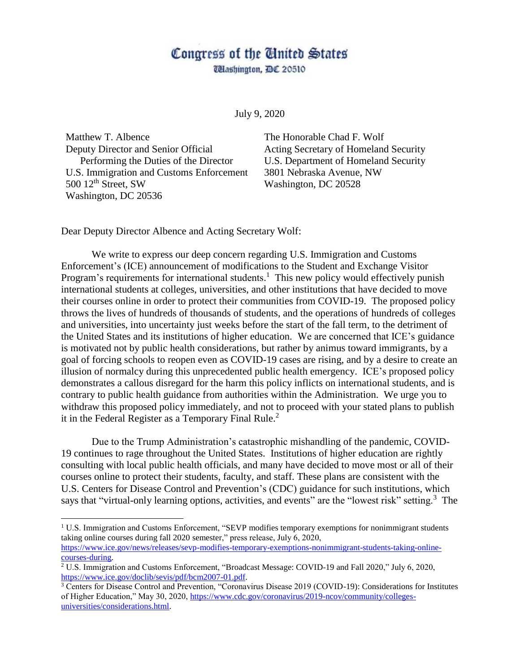## Congress of the Cinited States

*Ulashington, DC 20510* 

July 9, 2020

Matthew T. Albence The Honorable Chad F. Wolf Deputy Director and Senior Official Acting Secretary of Homeland Security Performing the Duties of the Director U.S. Department of Homeland Security U.S. Immigration and Customs Enforcement 3801 Nebraska Avenue, NW 500  $12<sup>th</sup>$  Street, SW Washington, DC 20528 Washington, DC 20536

 $\overline{a}$ 

Dear Deputy Director Albence and Acting Secretary Wolf:

We write to express our deep concern regarding U.S. Immigration and Customs Enforcement's (ICE) announcement of modifications to the Student and Exchange Visitor Program's requirements for international students.<sup>1</sup> This new policy would effectively punish international students at colleges, universities, and other institutions that have decided to move their courses online in order to protect their communities from COVID-19. The proposed policy throws the lives of hundreds of thousands of students, and the operations of hundreds of colleges and universities, into uncertainty just weeks before the start of the fall term, to the detriment of the United States and its institutions of higher education. We are concerned that ICE's guidance is motivated not by public health considerations, but rather by animus toward immigrants, by a goal of forcing schools to reopen even as COVID-19 cases are rising, and by a desire to create an illusion of normalcy during this unprecedented public health emergency. ICE's proposed policy demonstrates a callous disregard for the harm this policy inflicts on international students, and is contrary to public health guidance from authorities within the Administration. We urge you to withdraw this proposed policy immediately, and not to proceed with your stated plans to publish it in the Federal Register as a Temporary Final Rule. 2

Due to the Trump Administration's catastrophic mishandling of the pandemic, COVID-19 continues to rage throughout the United States. Institutions of higher education are rightly consulting with local public health officials, and many have decided to move most or all of their courses online to protect their students, faculty, and staff. These plans are consistent with the U.S. Centers for Disease Control and Prevention's (CDC) guidance for such institutions, which says that "virtual-only learning options, activities, and events" are the "lowest risk" setting.<sup>3</sup> The

<sup>&</sup>lt;sup>1</sup> U.S. Immigration and Customs Enforcement, "SEVP modifies temporary exemptions for nonimmigrant students taking online courses during fall 2020 semester," press release, July 6, 2020, [https://www.ice.gov/news/releases/sevp-modifies-temporary-exemptions-nonimmigrant-students-taking-online](https://www.ice.gov/news/releases/sevp-modifies-temporary-exemptions-nonimmigrant-students-taking-online-courses-during)[courses-during.](https://www.ice.gov/news/releases/sevp-modifies-temporary-exemptions-nonimmigrant-students-taking-online-courses-during)

<sup>2</sup> U.S. Immigration and Customs Enforcement, "Broadcast Message: COVID-19 and Fall 2020," July 6, 2020, [https://www.ice.gov/doclib/sevis/pdf/bcm2007-01.pdf.](https://www.ice.gov/doclib/sevis/pdf/bcm2007-01.pdf)

<sup>&</sup>lt;sup>3</sup> Centers for Disease Control and Prevention, "Coronavirus Disease 2019 (COVID-19): Considerations for Institutes of Higher Education," May 30, 2020, [https://www.cdc.gov/coronavirus/2019-ncov/community/colleges](https://www.cdc.gov/coronavirus/2019-ncov/community/colleges-universities/considerations.html)[universities/considerations.html.](https://www.cdc.gov/coronavirus/2019-ncov/community/colleges-universities/considerations.html)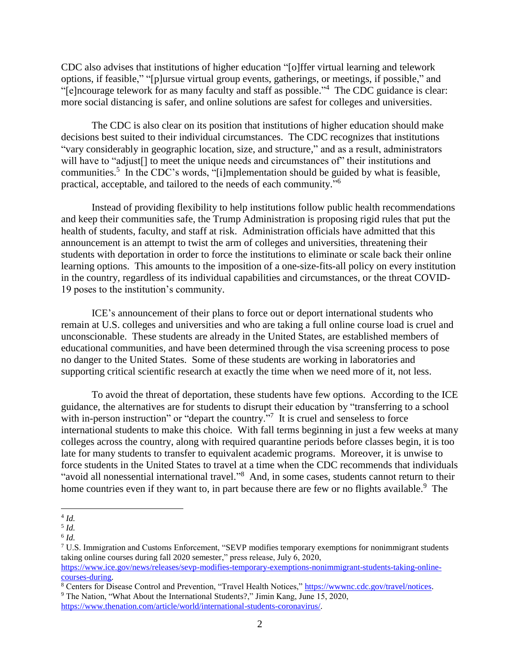CDC also advises that institutions of higher education "[o]ffer virtual learning and telework options, if feasible," "[p]ursue virtual group events, gatherings, or meetings, if possible," and "[e]ncourage telework for as many faculty and staff as possible."<sup>4</sup> The CDC guidance is clear: more social distancing is safer, and online solutions are safest for colleges and universities.

The CDC is also clear on its position that institutions of higher education should make decisions best suited to their individual circumstances. The CDC recognizes that institutions "vary considerably in geographic location, size, and structure," and as a result, administrators will have to "adjust" to meet the unique needs and circumstances of their institutions and communities.<sup>5</sup> In the CDC's words, "[i]mplementation should be guided by what is feasible, practical, acceptable, and tailored to the needs of each community."<sup>6</sup>

Instead of providing flexibility to help institutions follow public health recommendations and keep their communities safe, the Trump Administration is proposing rigid rules that put the health of students, faculty, and staff at risk. Administration officials have admitted that this announcement is an attempt to twist the arm of colleges and universities, threatening their students with deportation in order to force the institutions to eliminate or scale back their online learning options. This amounts to the imposition of a one-size-fits-all policy on every institution in the country, regardless of its individual capabilities and circumstances, or the threat COVID-19 poses to the institution's community.

ICE's announcement of their plans to force out or deport international students who remain at U.S. colleges and universities and who are taking a full online course load is cruel and unconscionable. These students are already in the United States, are established members of educational communities, and have been determined through the visa screening process to pose no danger to the United States. Some of these students are working in laboratories and supporting critical scientific research at exactly the time when we need more of it, not less.

To avoid the threat of deportation, these students have few options. According to the ICE guidance, the alternatives are for students to disrupt their education by "transferring to a school with in-person instruction" or "depart the country. $\frac{1}{10}$ " It is cruel and senseless to force international students to make this choice. With fall terms beginning in just a few weeks at many colleges across the country, along with required quarantine periods before classes begin, it is too late for many students to transfer to equivalent academic programs. Moreover, it is unwise to force students in the United States to travel at a time when the CDC recommends that individuals "avoid all nonessential international travel."<sup>8</sup> And, in some cases, students cannot return to their home countries even if they want to, in part because there are few or no flights available.<sup>9</sup> The

[https://www.thenation.com/article/world/international-students-coronavirus/.](https://www.thenation.com/article/world/international-students-coronavirus/)

 $\overline{a}$ 4 *Id.*

<sup>5</sup> *Id.*

<sup>6</sup> *Id.*

<sup>7</sup> U.S. Immigration and Customs Enforcement, "SEVP modifies temporary exemptions for nonimmigrant students taking online courses during fall 2020 semester," press release, July 6, 2020, [https://www.ice.gov/news/releases/sevp-modifies-temporary-exemptions-nonimmigrant-students-taking-online-](https://www.ice.gov/news/releases/sevp-modifies-temporary-exemptions-nonimmigrant-students-taking-online-courses-during)

[courses-during.](https://www.ice.gov/news/releases/sevp-modifies-temporary-exemptions-nonimmigrant-students-taking-online-courses-during)

<sup>&</sup>lt;sup>8</sup> Centers for Disease Control and Prevention, "Travel Health Notices," [https://wwwnc.cdc.gov/travel/notices.](https://wwwnc.cdc.gov/travel/notices) <sup>9</sup> The Nation, "What About the International Students?," Jimin Kang, June 15, 2020,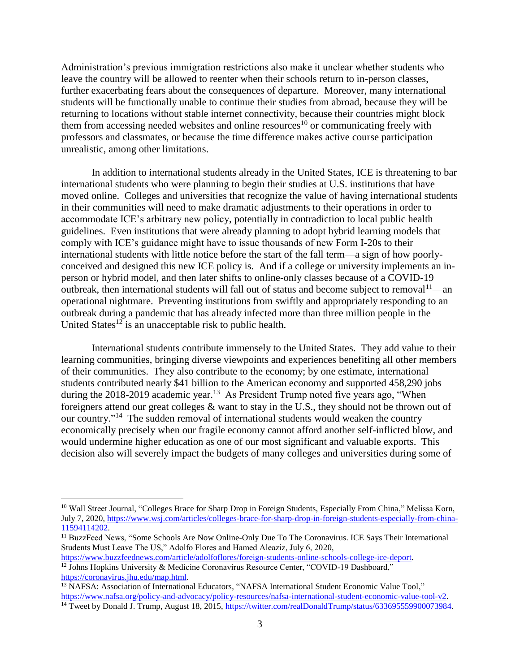Administration's previous immigration restrictions also make it unclear whether students who leave the country will be allowed to reenter when their schools return to in-person classes, further exacerbating fears about the consequences of departure. Moreover, many international students will be functionally unable to continue their studies from abroad, because they will be returning to locations without stable internet connectivity, because their countries might block them from accessing needed websites and online resources<sup>10</sup> or communicating freely with professors and classmates, or because the time difference makes active course participation unrealistic, among other limitations.

In addition to international students already in the United States, ICE is threatening to bar international students who were planning to begin their studies at U.S. institutions that have moved online. Colleges and universities that recognize the value of having international students in their communities will need to make dramatic adjustments to their operations in order to accommodate ICE's arbitrary new policy, potentially in contradiction to local public health guidelines. Even institutions that were already planning to adopt hybrid learning models that comply with ICE's guidance might have to issue thousands of new Form I-20s to their international students with little notice before the start of the fall term—a sign of how poorlyconceived and designed this new ICE policy is. And if a college or university implements an inperson or hybrid model, and then later shifts to online-only classes because of a COVID-19 outbreak, then international students will fall out of status and become subject to removal  $11$ —an operational nightmare. Preventing institutions from swiftly and appropriately responding to an outbreak during a pandemic that has already infected more than three million people in the United States<sup>12</sup> is an unacceptable risk to public health.

International students contribute immensely to the United States. They add value to their learning communities, bringing diverse viewpoints and experiences benefiting all other members of their communities. They also contribute to the economy; by one estimate, international students contributed nearly \$41 billion to the American economy and supported 458,290 jobs during the 2018-2019 academic year.<sup>13</sup> As President Trump noted five years ago, "When foreigners attend our great colleges & want to stay in the U.S., they should not be thrown out of our country."<sup>14</sup> The sudden removal of international students would weaken the country economically precisely when our fragile economy cannot afford another self-inflicted blow, and would undermine higher education as one of our most significant and valuable exports. This decision also will severely impact the budgets of many colleges and universities during some of

 $\overline{a}$ 

<sup>&</sup>lt;sup>10</sup> Wall Street Journal, "Colleges Brace for Sharp Drop in Foreign Students, Especially From China," Melissa Korn, July 7, 2020, [https://www.wsj.com/articles/colleges-brace-for-sharp-drop-in-foreign-students-especially-from-china-](https://www.wsj.com/articles/colleges-brace-for-sharp-drop-in-foreign-students-especially-from-china-11594114202)[11594114202.](https://www.wsj.com/articles/colleges-brace-for-sharp-drop-in-foreign-students-especially-from-china-11594114202)

<sup>&</sup>lt;sup>11</sup> BuzzFeed News, "Some Schools Are Now Online-Only Due To The Coronavirus. ICE Says Their International Students Must Leave The US," Adolfo Flores and Hamed Aleaziz, July 6, 2020,

[https://www.buzzfeednews.com/article/adolfoflores/foreign-students-online-schools-college-ice-deport.](https://www.buzzfeednews.com/article/adolfoflores/foreign-students-online-schools-college-ice-deport) <sup>12</sup> Johns Hopkins University & Medicine Coronavirus Resource Center, "COVID-19 Dashboard," [https://coronavirus.jhu.edu/map.html.](https://coronavirus.jhu.edu/map.html)

<sup>&</sup>lt;sup>13</sup> NAFSA: Association of International Educators, "NAFSA International Student Economic Value Tool," [https://www.nafsa.org/policy-and-advocacy/policy-resources/nafsa-international-student-economic-value-tool-v2.](https://www.nafsa.org/policy-and-advocacy/policy-resources/nafsa-international-student-economic-value-tool-v2) <sup>14</sup> Tweet by Donald J. Trump, August 18, 2015, [https://twitter.com/realDonaldTrump/status/633695559900073984.](https://twitter.com/realDonaldTrump/status/633695559900073984)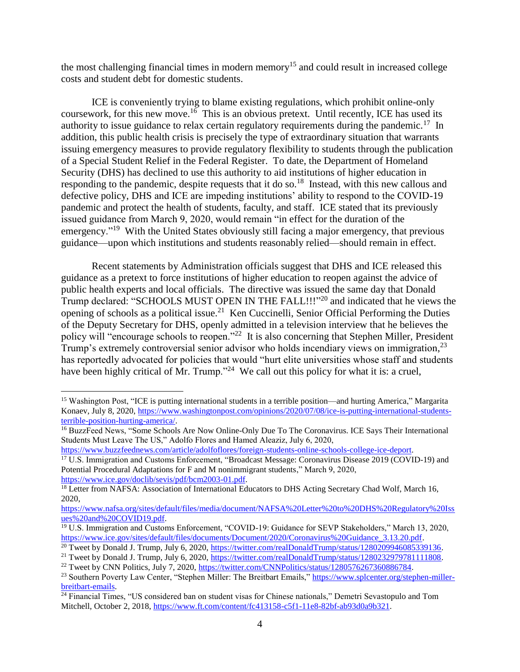the most challenging financial times in modern memory<sup>15</sup> and could result in increased college costs and student debt for domestic students.

ICE is conveniently trying to blame existing regulations, which prohibit online-only coursework, for this new move.<sup>16</sup> This is an obvious pretext. Until recently, ICE has used its authority to issue guidance to relax certain regulatory requirements during the pandemic.<sup>17</sup> In addition, this public health crisis is precisely the type of extraordinary situation that warrants issuing emergency measures to provide regulatory flexibility to students through the publication of a Special Student Relief in the Federal Register. To date, the Department of Homeland Security (DHS) has declined to use this authority to aid institutions of higher education in responding to the pandemic, despite requests that it do so.<sup>18</sup> Instead, with this new callous and defective policy, DHS and ICE are impeding institutions' ability to respond to the COVID-19 pandemic and protect the health of students, faculty, and staff. ICE stated that its previously issued guidance from March 9, 2020, would remain "in effect for the duration of the emergency."<sup>19</sup> With the United States obviously still facing a major emergency, that previous guidance—upon which institutions and students reasonably relied—should remain in effect.

Recent statements by Administration officials suggest that DHS and ICE released this guidance as a pretext to force institutions of higher education to reopen against the advice of public health experts and local officials. The directive was issued the same day that Donald Trump declared: "SCHOOLS MUST OPEN IN THE FALL!!!"<sup>20</sup> and indicated that he views the opening of schools as a political issue.<sup>21</sup> Ken Cuccinelli, Senior Official Performing the Duties of the Deputy Secretary for DHS, openly admitted in a television interview that he believes the policy will "encourage schools to reopen."<sup>22</sup> It is also concerning that Stephen Miller, President Trump's extremely controversial senior advisor who holds incendiary views on immigration,<sup>23</sup> has reportedly advocated for policies that would "hurt elite universities whose staff and students have been highly critical of Mr. Trump."<sup>24</sup> We call out this policy for what it is: a cruel,

[https://www.buzzfeednews.com/article/adolfoflores/foreign-students-online-schools-college-ice-deport.](https://www.buzzfeednews.com/article/adolfoflores/foreign-students-online-schools-college-ice-deport)

 $\overline{a}$ 

<sup>17</sup> U.S. Immigration and Customs Enforcement, "Broadcast Message: Coronavirus Disease 2019 (COVID-19) and Potential Procedural Adaptations for F and M nonimmigrant students," March 9, 2020, [https://www.ice.gov/doclib/sevis/pdf/bcm2003-01.pdf.](https://www.ice.gov/doclib/sevis/pdf/bcm2003-01.pdf)

<sup>15</sup> Washington Post, "ICE is putting international students in a terrible position—and hurting America," Margarita Konaev, July 8, 2020, [https://www.washingtonpost.com/opinions/2020/07/08/ice-is-putting-international-students](https://www.washingtonpost.com/opinions/2020/07/08/ice-is-putting-international-students-terrible-position-hurting-america/)[terrible-position-hurting-america/.](https://www.washingtonpost.com/opinions/2020/07/08/ice-is-putting-international-students-terrible-position-hurting-america/)

<sup>&</sup>lt;sup>16</sup> BuzzFeed News, "Some Schools Are Now Online-Only Due To The Coronavirus. ICE Says Their International Students Must Leave The US," Adolfo Flores and Hamed Aleaziz, July 6, 2020,

<sup>&</sup>lt;sup>18</sup> Letter from NAFSA: Association of International Educators to DHS Acting Secretary Chad Wolf, March 16, 2020,

[https://www.nafsa.org/sites/default/files/media/document/NAFSA%20Letter%20to%20DHS%20Regulatory%20Iss](https://www.nafsa.org/sites/default/files/media/document/NAFSA%20Letter%20to%20DHS%20Regulatory%20Issues%20and%20COVID19.pdf) [ues%20and%20COVID19.pdf.](https://www.nafsa.org/sites/default/files/media/document/NAFSA%20Letter%20to%20DHS%20Regulatory%20Issues%20and%20COVID19.pdf)

<sup>&</sup>lt;sup>19</sup> U.S. Immigration and Customs Enforcement, "COVID-19: Guidance for SEVP Stakeholders," March 13, 2020, [https://www.ice.gov/sites/default/files/documents/Document/2020/Coronavirus%20Guidance\\_3.13.20.pdf.](https://www.ice.gov/sites/default/files/documents/Document/2020/Coronavirus%20Guidance_3.13.20.pdf)

<sup>&</sup>lt;sup>20</sup> Tweet by Donald J. Trump, July 6, 2020, [https://twitter.com/realDonaldTrump/status/1280209946085339136.](https://twitter.com/realDonaldTrump/status/1280209946085339136)

<sup>&</sup>lt;sup>21</sup> Tweet by Donald J. Trump, July 6, 2020, [https://twitter.com/realDonaldTrump/status/1280232979781111808.](https://twitter.com/realDonaldTrump/status/1280232979781111808)

<sup>&</sup>lt;sup>22</sup> Tweet by CNN Politics, July 7, 2020, [https://twitter.com/CNNPolitics/status/1280576267360886784.](https://twitter.com/CNNPolitics/status/1280576267360886784)

<sup>&</sup>lt;sup>23</sup> Southern Poverty Law Center, "Stephen Miller: The Breitbart Emails," [https://www.splcenter.org/stephen-miller](https://www.splcenter.org/stephen-miller-breitbart-emails)[breitbart-emails.](https://www.splcenter.org/stephen-miller-breitbart-emails)

<sup>&</sup>lt;sup>24</sup> Financial Times, "US considered ban on student visas for Chinese nationals," Demetri Sevastopulo and Tom Mitchell, October 2, 2018[, https://www.ft.com/content/fc413158-c5f1-11e8-82bf-ab93d0a9b321.](https://www.ft.com/content/fc413158-c5f1-11e8-82bf-ab93d0a9b321)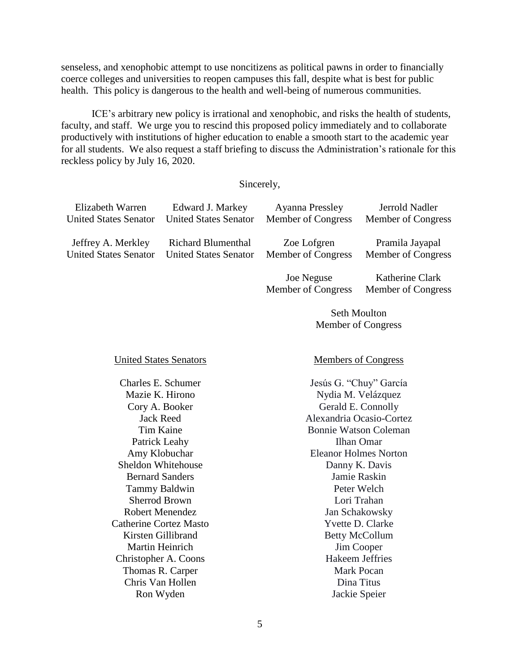senseless, and xenophobic attempt to use noncitizens as political pawns in order to financially coerce colleges and universities to reopen campuses this fall, despite what is best for public health. This policy is dangerous to the health and well-being of numerous communities.

ICE's arbitrary new policy is irrational and xenophobic, and risks the health of students, faculty, and staff. We urge you to rescind this proposed policy immediately and to collaborate productively with institutions of higher education to enable a smooth start to the academic year for all students. We also request a staff briefing to discuss the Administration's rationale for this reckless policy by July 16, 2020.

## Sincerely,

| Elizabeth Warren             | Edward J. Markey             | <b>Ayanna Pressley</b> | Jerrold Nadler     |
|------------------------------|------------------------------|------------------------|--------------------|
| <b>United States Senator</b> | <b>United States Senator</b> | Member of Congress     | Member of Congress |
| Jeffrey A. Merkley           | <b>Richard Blumenthal</b>    | Zoe Lofgren            | Pramila Jayapal    |
| <b>United States Senator</b> | <b>United States Senator</b> | Member of Congress     | Member of Congress |
|                              |                              | Joe Neguse             | Katherine Clark    |
|                              |                              | Member of Congress     | Member of Congress |
|                              |                              | <b>Seth Moulton</b>    |                    |
|                              |                              | Member of Congress     |                    |

Charles E. Schumer Jesús G. "Chuy" García Jack Reed Tim Kaine Patrick Leahy Amy Klobuchar Sheldon Whitehouse Bernard Sanders Tammy Baldwin Sherrod Brown Robert Menendez Catherine Cortez Masto Kirsten Gillibrand Martin Heinrich Christopher A. Coons Thomas R. Carper Chris Van Hollen Ron Wyden

## United States Senators Members of Congress

Mazie K. Hirono Nydia M. Velázquez Cory A. Booker Gerald E. Connolly Alexandria Ocasio-Cortez Bonnie Watson Coleman Ilhan Omar Eleanor Holmes Norton Danny K. Davis Jamie Raskin Peter Welch Lori Trahan Jan Schakowsky Yvette D. Clarke Betty McCollum Jim Cooper Hakeem Jeffries Mark Pocan Dina Titus Jackie Speier